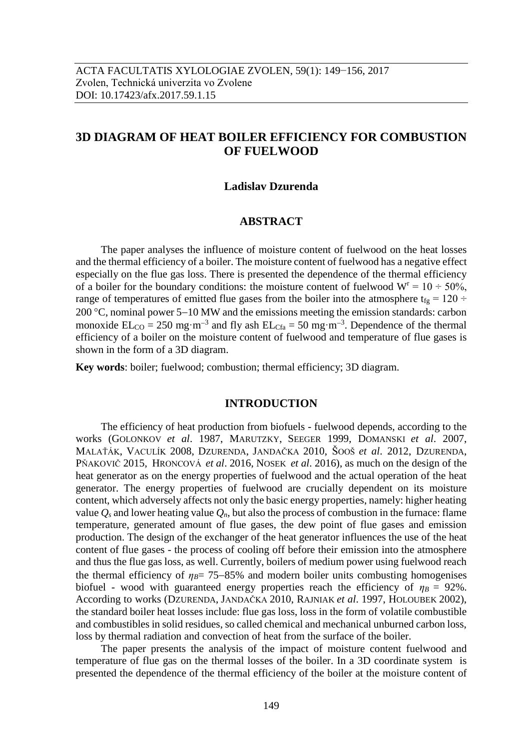# **3D DIAGRAM OF HEAT BOILER EFFICIENCY FOR COMBUSTION OF FUELWOOD**

### **Ladislav Dzurenda**

## **ABSTRACT**

The paper analyses the influence of moisture content of fuelwood on the heat losses and the thermal efficiency of a boiler. The moisture content of fuelwood has a negative effect especially on the flue gas loss. There is presented the dependence of the thermal efficiency of a boiler for the boundary conditions: the moisture content of fuelwood  $W^r = 10 \div 50\%$ , range of temperatures of emitted flue gases from the boiler into the atmosphere  $t_{fg} = 120 \div$ 200 °C, nominal power  $5-10$  MW and the emissions meeting the emission standards: carbon monoxide  $EL_{CO} = 250$  mg·m<sup>-3</sup> and fly ash  $EL_{Cfa} = 50$  mg·m<sup>-3</sup>. Dependence of the thermal efficiency of a boiler on the moisture content of fuelwood and temperature of flue gases is shown in the form of a 3D diagram.

**Key words**: boiler; fuelwood; combustion; thermal efficiency; 3D diagram.

### **INTRODUCTION**

The efficiency of heat production from biofuels - fuelwood depends, according to the works (GOLONKOV *et al*. 1987, MARUTZKY, SEEGER 1999, DOMANSKI *et al*. 2007, MALAŤÁK, VACULÍK 2008, DZURENDA, JANDAČKA 2010, ŠOOŠ *et al*. 2012, DZURENDA, PŇAKOVIČ 2015, H[RONCOVÁ](https://www.scopus.com/authid/detail.uri?authorId=46662035100&eid=2-s2.0-84949895454) *et al*. 2016, NOSEK *et al*. 2016), as much on the design of the heat generator as on the energy properties of fuelwood and the actual operation of the heat generator. The energy properties of fuelwood are crucially dependent on its moisture content, which adversely affects not only the basic energy properties, namely: higher heating value  $O_s$  and lower heating value  $O_n$ , but also the process of combustion in the furnace: flame temperature, generated amount of flue gases, the dew point of flue gases and emission production. The design of the exchanger of the heat generator influences the use of the heat content of flue gases - the process of cooling off before their emission into the atmosphere and thus the flue gas loss, as well. Currently, boilers of medium power using fuelwood reach the thermal efficiency of  $n_B$ = 75–85% and modern boiler units combusting homogenises biofuel - wood with guaranteed energy properties reach the efficiency of  $\eta_B = 92\%$ . According to works (DZURENDA, JANDAČKA 2010, RAJNIAK *et al*. 1997, HOLOUBEK 2002), the standard boiler heat losses include: flue gas loss, loss in the form of volatile combustible and combustibles in solid residues, so called chemical and mechanical unburned carbon loss, loss by thermal radiation and convection of heat from the surface of the boiler*.*

The paper presents the analysis of the impact of moisture content fuelwood and temperature of flue gas on the thermal losses of the boiler. In a 3D coordinate system is presented the dependence of the thermal efficiency of the boiler at the moisture content of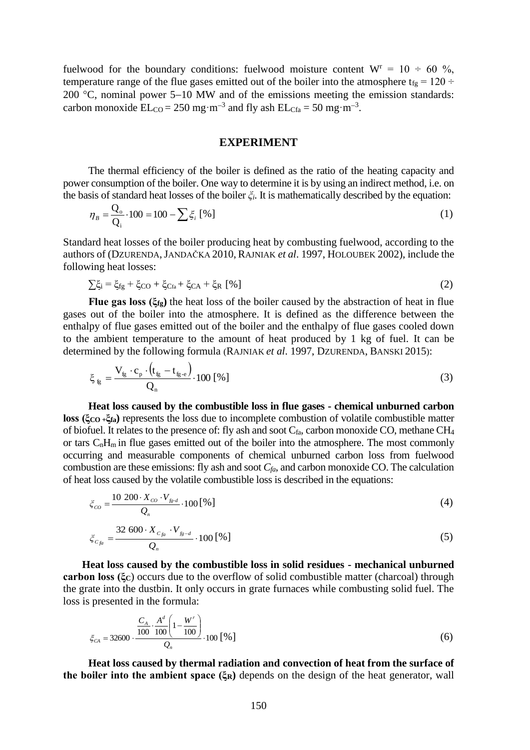fuelwood for the boundary conditions: fuelwood moisture content  $W^r = 10 \div 60 \%$ , temperature range of the flue gases emitted out of the boiler into the atmosphere t<sub>fg</sub> = 120 ÷ 200  $^{\circ}$ C, nominal power 5-10 MW and of the emissions meeting the emission standards: carbon monoxide  $EL_{CO} = 250$  mg·m<sup>-3</sup> and fly ash  $EL_{Cfa} = 50$  mg·m<sup>-3</sup>.

# **EXPERIMENT**

The thermal efficiency of the boiler is defined as the ratio of the heating capacity and power consumption of the boiler. One way to determine it is by using an indirect method, i.e. on the basis of standard heat losses of the boiler *ξi*. It is mathematically described by the equation:

$$
\eta_B = \frac{Q_o}{Q_i} \cdot 100 = 100 - \sum \xi_i [96]
$$
 (1)

Standard heat losses of the boiler producing heat by combusting fuelwood, according to the authors of (DZURENDA,JANDAČKA 2010, RAJNIAK *et al*. 1997, HOLOUBEK 2002), include the following heat losses:

$$
\sum \xi_i = \xi_{fg} + \xi_{CO} + \xi_{Cfa} + \xi_{CA} + \xi_R \, [\%]
$$
 (2)

**Flue gas loss (ξfg)** the heat loss of the boiler caused by the abstraction of heat in flue gases out of the boiler into the atmosphere. It is defined as the difference between the enthalpy of flue gases emitted out of the boiler and the enthalpy of flue gases cooled down to the ambient temperature to the amount of heat produced by 1 kg of fuel. It can be determined by the following formula (RAJNIAK *et al*. 1997, DZURENDA, BANSKI 2015):

$$
\xi_{\rm fg} = \frac{V_{\rm fg} \cdot c_{\rm p} \cdot (t_{\rm fg} - t_{\rm fg \cdot e})}{Q_{\rm n}} \cdot 100 \, [\%]
$$
\n(3)

**Heat loss caused by the combustible loss in flue gases - chemical unburned carbon loss (ξCO +ξfa)** represents the loss due to incomplete combustion of volatile combustible matter of biofuel. It relates to the presence of: fly ash and soot  $C_{fa}$ , carbon monoxide CO, methane CH<sub>4</sub> or tars  $C_nH_m$  in flue gases emitted out of the boiler into the atmosphere. The most commonly occurring and measurable components of chemical unburned carbon loss from fuelwood combustion are these emissions: fly ash and soot  $C_{fa}$ , and carbon monoxide CO. The calculation of heat loss caused by the volatile combustible loss is described in the equations:

$$
\zeta_{co} = \frac{10\ 200 \cdot X_{co} \cdot V_{f g \cdot d}}{Q_n} \cdot 100\left[\% \right] \tag{4}
$$

$$
\zeta_{C_{fa}} = \frac{32\ 600 \cdot X_{C_{fa}} \cdot V_{f_g-d}}{Q_n} \cdot 100\,\left[\% \right] \tag{5}
$$

**Heat loss caused by the combustible loss in solid residues - mechanical unburned carbon loss (ξC**) occurs due to the overflow of solid combustible matter (charcoal) through the grate into the dustbin. It only occurs in grate furnaces while combusting solid fuel. The loss is presented in the formula:

$$
\xi_{CA} = 32600 \cdot \frac{\frac{C_A}{100} \cdot \frac{A^d}{100} \left(1 - \frac{W^r}{100}\right)}{Q_n} \cdot 100 \left[\% \right] \tag{6}
$$

**Heat loss caused by thermal radiation and convection of heat from the surface of the boiler into the ambient space (ξR)** depends on the design of the heat generator, wall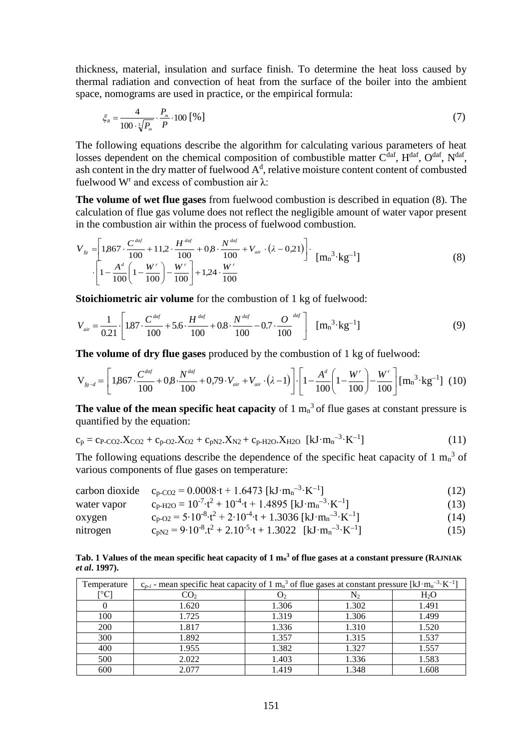thickness, material, insulation and surface finish. To determine the heat loss caused by thermal radiation and convection of heat from the surface of the boiler into the ambient space, nomograms are used in practice, or the empirical formula:

$$
\xi_{R} = \frac{4}{100 \cdot \sqrt[3]{P_{m}}} \cdot \frac{P_{m}}{P} \cdot 100 [ \% ]
$$
 (7)

The following equations describe the algorithm for calculating various parameters of heat losses dependent on the chemical composition of combustible matter  $C^{dar}$ ,  $H^{dar}$ ,  $O^{dar}$ ,  $N^{dar}$ , ash content in the dry matter of fuelwood  $A<sup>d</sup>$ , relative moisture content content of combusted fuelwood W<sup>r</sup> and excess of combustion air λ:

**The volume of wet flue gases** from fuelwood combustion is described in equation (8). The calculation of flue gas volume does not reflect the negligible amount of water vapor present in the combustion air within the process of fuelwood combustion.

$$
V_{fg} = \left[1,867 \cdot \frac{C^{dof}}{100} + 11,2 \cdot \frac{H^{dof}}{100} + 0,8 \cdot \frac{N^{dof}}{100} + V_{air} \cdot (\lambda - 0.21)\right] \cdot \left[m_n^3 \cdot \text{kg}^{-1}\right] \cdot \left[1 - \frac{A^d}{100}\left(1 - \frac{W^r}{100}\right) - \frac{W^r}{100}\right] + 1,24 \cdot \frac{W^r}{100} \tag{8}
$$

**Stoichiometric air volume** for the combustion of 1 kg of fuelwood:

$$
V_{air} = \frac{1}{0.21} \left[ 1.87 \cdot \frac{C^{4af}}{100} + 5.6 \cdot \frac{H^{4af}}{100} + 0.8 \cdot \frac{N^{4af}}{100} - 0.7 \cdot \frac{O^{4af}}{100} \right] \text{ [mn3 \cdot \text{kg}^{-1}]}
$$
 (9)

**The volume of dry flue gases** produced by the combustion of 1 kg of fuelwood:

$$
\mathbf{V}_{f_{g-d}} = \left[1,867 \cdot \frac{C^{dof}}{100} + 0,8 \cdot \frac{N^{dof}}{100} + 0,79 \cdot V_{air} + V_{air} \cdot (\lambda - 1)\right] \cdot \left[1 - \frac{A^d}{100} \left(1 - \frac{W^r}{100}\right) - \frac{W^r}{100}\right] \left[m_n^3 \cdot \text{kg}^{-1}\right] (10)
$$

**The value of the mean specific heat capacity** of  $1 \text{ m}_n^3$  of flue gases at constant pressure is quantified by the equation:

$$
c_p = c_{P-CO2}.X_{CO2} + c_{p-O2}.X_{O2} + c_{pN2}.X_{N2} + c_{p-H2O}.X_{H2O} \quad [kJ \cdot m_n^{-3} \cdot K^{-1}]
$$
\n(11)

The following equations describe the dependence of the specific heat capacity of 1  $m<sub>n</sub>$ <sup>3</sup> of various components of flue gases on temperature:

|             | carbon dioxide $c_{p-CO2} = 0.0008 \tcdot t + 1.6473 \text{ [kJ} \cdot \text{m}_n^{-3} \cdot \text{K}^{-1}$                  | (12) |
|-------------|------------------------------------------------------------------------------------------------------------------------------|------|
| water vapor | $c_{p-H2O} = 10^{-7} \cdot t^2 + 10^{-4} \cdot t + 1.4895$ [kJ·m <sub>n</sub> <sup>-3</sup> ·K <sup>-1</sup> ]               | (13) |
| oxygen      | $c_{p-02} = 5.10^{-8} \cdot t^2 + 2.10^{-4} \cdot t + 1.3036 \text{ [kJ} \cdot \text{m}_n \text{m}^{-3} \cdot \text{K}^{-1}$ | (14) |
| nitrogen    | $c_{nN2} = 9.10^{-8} \text{.}t^2 + 2.10^{-5} \text{·t} + 1.3022 \text{ [kJ·mn^{-3}·K-1]}$                                    | (15) |

**Tab. 1 Values of the mean specific heat capacity of 1 m<sup>n</sup> <sup>3</sup> of flue gases at a constant pressure (RAJNIAK**

*et al***. 1997).**

| Temperature | $c_{p-i}$ - mean specific heat capacity of 1 m <sub>n</sub> <sup>3</sup> of flue gases at constant pressure [kJ·m <sub>n</sub> <sup>-3</sup> ·K <sup>-1</sup> ] |                |           |        |  |  |  |  |
|-------------|-----------------------------------------------------------------------------------------------------------------------------------------------------------------|----------------|-----------|--------|--|--|--|--|
| [°C]        | CO <sub>2</sub>                                                                                                                                                 | $\mathsf{U}_2$ | $\rm N_2$ | $H_2O$ |  |  |  |  |
|             | 1.620                                                                                                                                                           | 1.306          | 1.302     | 1.491  |  |  |  |  |
| 100         | 1.725                                                                                                                                                           | 1.319          | 1.306     | 1.499  |  |  |  |  |
| 200         | 1.817                                                                                                                                                           | 1.336          | 1.310     | 1.520  |  |  |  |  |
| 300         | 1.892                                                                                                                                                           | 1.357          | 1.315     | 1.537  |  |  |  |  |
| 400         | 1.955                                                                                                                                                           | 1.382          | 1.327     | 1.557  |  |  |  |  |
| 500         | 2.022                                                                                                                                                           | 1.403          | 1.336     | 1.583  |  |  |  |  |
| 600         | 2.077                                                                                                                                                           | 1.419          | 1.348     | 1.608  |  |  |  |  |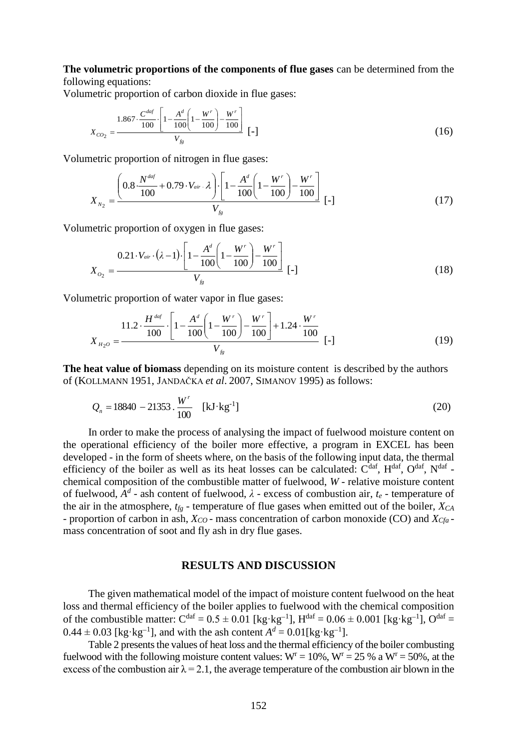**The volumetric proportions of the components of flue gases** can be determined from the following equations:

Volumetric proportion of carbon dioxide in flue gases:

$$
X_{CO_2} = \frac{1.867 \cdot \frac{C^{daf}}{100} \cdot \left[1 - \frac{A^d}{100} \left(1 - \frac{W^r}{100}\right) - \frac{W^r}{100}\right]}{V_{fg}} \left[-\right] \tag{16}
$$

Volumetric proportion of nitrogen in flue gases:

$$
X_{N_2} = \frac{\left(0.8 \cdot \frac{N^{dq}}{100} + 0.79 \cdot V_{air} \cdot \lambda\right) \cdot \left[1 - \frac{A^d}{100} \left(1 - \frac{W^r}{100}\right) - \frac{W^r}{100}\right]}{V_{fg}} \left[-\right] \tag{17}
$$

Volumetric proportion of oxygen in flue gases:

$$
X_{O_2} = \frac{0.21 \cdot V_{air} \cdot (\lambda - 1) \cdot \left[1 - \frac{A^d}{100} \left(1 - \frac{W^r}{100}\right) - \frac{W^r}{100}\right]}{V_{f_8}} \left[-\right] \tag{18}
$$

Volumetric proportion of water vapor in flue gases:

$$
X_{H_2O} = \frac{11.2 \cdot \frac{H^{ddf}}{100} \cdot \left[1 - \frac{A^d}{100} \left(1 - \frac{W^r}{100}\right) - \frac{W^r}{100}\right] + 1.24 \cdot \frac{W^r}{100}}{V_{fg}} \left[-\right] \tag{19}
$$

**The heat value of biomass** depending on its moisture content is described by the authors of (KOLLMANN 1951, JANDAČKA *et al*. 2007, SIMANOV 1995) as follows:

$$
Q_n = 18840 - 21353 \cdot \frac{W^r}{100} \quad \text{[kJ·kg-1]}
$$
 (20)

In order to make the process of analysing the impact of fuelwood moisture content on the operational efficiency of the boiler more effective, a program in EXCEL has been developed - in the form of sheets where, on the basis of the following input data, the thermal efficiency of the boiler as well as its heat losses can be calculated:  $C^{daf}$ ,  $H^{daf}$ ,  $O^{daf}$ ,  $N^{daf}$  chemical composition of the combustible matter of fuelwood, *W* - relative moisture content of fuelwood,  $A^d$  - ash content of fuelwood,  $\lambda$  - excess of combustion air,  $t_e$  - temperature of the air in the atmosphere, *tfg* - temperature of flue gases when emitted out of the boiler, *XCA* - proportion of carbon in ash, *XCO* - mass concentration of carbon monoxide (CO) and *XCfa*  mass concentration of soot and fly ash in dry flue gases.

## **RESULTS AND DISCUSSION**

The given mathematical model of the impact of moisture content fuelwood on the heat loss and thermal efficiency of the boiler applies to fuelwood with the chemical composition of the combustible matter:  $C^{dar} = 0.5 \pm 0.01$  [kg·kg<sup>-1</sup>],  $H^{dar} = 0.06 \pm 0.001$  [kg·kg<sup>-1</sup>],  $O^{dar} =$  $0.44 \pm 0.03$  [kg·kg<sup>-1</sup>], and with the ash content  $A<sup>d</sup> = 0.01$ [kg·kg<sup>-1</sup>].

Table 2 presents the values of heat loss and the thermal efficiency of the boiler combusting fuelwood with the following moisture content values:  $W = 10\%$ ,  $W = 25\%$  a  $W = 50\%$ , at the excess of the combustion air  $\lambda = 2.1$ , the average temperature of the combustion air blown in the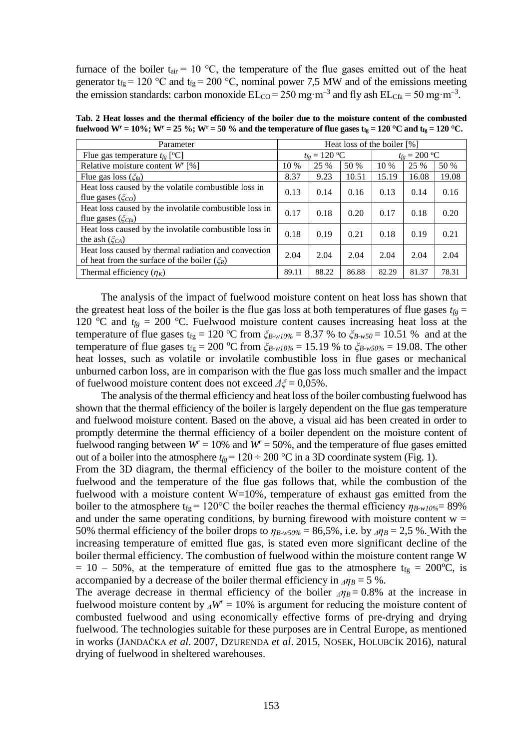furnace of the boiler  $t_{air} = 10 \degree C$ , the temperature of the flue gases emitted out of the heat generator t<sub>fg</sub> = 120 °C and t<sub>fg</sub> = 200 °C, nominal power 7,5 MW and of the emissions meeting the emission standards: carbon monoxide  $EL_{CO} = 250$  mg·m<sup>-3</sup> and fly ash  $EL_{Cfa} = 50$  mg·m<sup>-3</sup>.

**Tab. 2 Heat losses and the thermal efficiency of the boiler due to the moisture content of the combusted fuelwood**  $W^r = 10\%$ **;**  $W^r = 25\%$ **;**  $W^r = 50\%$  **and the temperature of flue gases**  $t_g = 120\degree C$  **and**  $t_g = 120\degree C$ **.** 

| Parameter                                                                                                |       | Heat loss of the boiler [%] |       |        |                             |       |  |
|----------------------------------------------------------------------------------------------------------|-------|-----------------------------|-------|--------|-----------------------------|-------|--|
| Flue gas temperature $t_{fg}$ [°C]                                                                       |       | $t_{fg} = 120$ °C           |       |        | $t_{fg} = 200 \, \text{°C}$ |       |  |
| Relative moisture content $Wr$ [%]                                                                       |       | 25 %                        | 50 %  | $10\%$ | 25 %                        | 50 %  |  |
| Flue gas loss $(\zeta_{fg})$                                                                             | 8.37  | 9.23                        | 10.51 | 15.19  | 16.08                       | 19.08 |  |
| Heat loss caused by the volatile combustible loss in<br>flue gases $(\xi_{CO})$                          | 0.13  | 0.14                        | 0.16  | 0.13   | 0.14                        | 0.16  |  |
| Heat loss caused by the involatile combustible loss in<br>flue gases $(\zeta_{Cfa})$                     | 0.17  | 0.18                        | 0.20  | 0.17   | 0.18                        | 0.20  |  |
| Heat loss caused by the involatile combustible loss in<br>the ash $(\zeta_{CA})$                         |       | 0.19                        | 0.21  | 0.18   | 0.19                        | 0.21  |  |
| Heat loss caused by thermal radiation and convection<br>of heat from the surface of the boiler $(\xi_R)$ |       | 2.04                        | 2.04  | 2.04   | 2.04                        | 2.04  |  |
| Thermal efficiency $(\eta_K)$                                                                            | 89.11 | 88.22                       | 86.88 | 82.29  | 81.37                       | 78.31 |  |

The analysis of the impact of fuelwood moisture content on heat loss has shown that the greatest heat loss of the boiler is the flue gas loss at both temperatures of flue gases  $t_{fg}$  = 120 °C and  $t_{fg}$  = 200 °C. Fuelwood moisture content causes increasing heat loss at the temperature of flue gases t<sub>fg</sub> = 120 °C from  $\zeta_{B-w10\%}$  = 8.37 % to  $\zeta_{B-w50}$  = 10.51 % and at the temperature of flue gases t<sub>fg</sub> = 200 °C from  $\zeta_{B-w10\%}$  = 15.19 % to  $\zeta_{B-w50\%}$  = 19.08. The other heat losses, such as volatile or involatile combustible loss in flue gases or mechanical unburned carbon loss, are in comparison with the flue gas loss much smaller and the impact of fuelwood moisture content does not exceed *Δξ* = 0,05%.

The analysis of the thermal efficiency and heat loss of the boiler combusting fuelwood has shown that the thermal efficiency of the boiler is largely dependent on the flue gas temperature and fuelwood moisture content. Based on the above, a visual aid has been created in order to promptly determine the thermal efficiency of a boiler dependent on the moisture content of fuelwood ranging between  $W^r = 10\%$  and  $W^r = 50\%$ , and the temperature of flue gases emitted out of a boiler into the atmosphere  $t_{fg} = 120 \div 200$  °C in a 3D coordinate system (Fig. 1).

From the 3D diagram, the thermal efficiency of the boiler to the moisture content of the fuelwood and the temperature of the flue gas follows that, while the combustion of the fuelwood with a moisture content W=10%, temperature of exhaust gas emitted from the boiler to the atmosphere t<sub>fg</sub> = 120°C the boiler reaches the thermal efficiency  $\eta_{B-w10\%}=89\%$ and under the same operating conditions, by burning firewood with moisture content  $w =$ 50% thermal efficiency of the boiler drops to  $\eta_{B-w50\%} = 86,5\%$ , i.e. by  $\eta_B = 2,5\%$ . With the increasing temperature of emitted flue gas, is stated even more significant decline of the boiler thermal efficiency. The combustion of fuelwood within the moisture content range W  $= 10 - 50\%$ , at the temperature of emitted flue gas to the atmosphere t<sub>fg</sub> = 200°C, is accompanied by a decrease of the boiler thermal efficiency in  $\Delta \eta_B = 5$ %.

The average decrease in thermal efficiency of the boiler  $\Delta \eta_B = 0.8\%$  at the increase in fuelwood moisture content by  $\Delta W^r = 10\%$  is argument for reducing the moisture content of combusted fuelwood and using economically effective forms of pre-drying and drying fuelwood. The technologies suitable for these purposes are in Central Europe, as mentioned in works (JANDAČKA *et al*. 2007, DZURENDA *et al*. 2015, NOSEK, HOLUBCÍK 2016), natural drying of fuelwood in sheltered warehouses.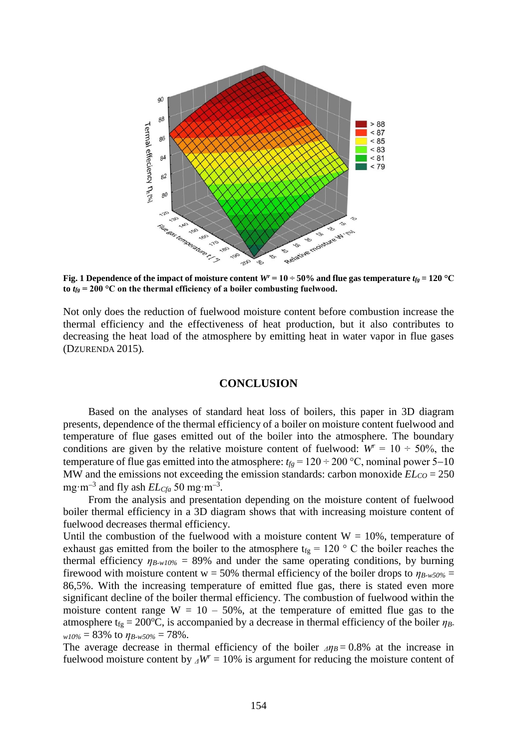

**Fig. 1 Dependence of the impact of moisture content**  $W^r = 10 \div 50\%$  **and flue gas temperature**  $t_{fg} = 120$  **°C** to  $t_{fg}$  = 200 °C on the thermal efficiency of a boiler combusting fuelwood.

Not only does the reduction of fuelwood moisture content before combustion increase the thermal efficiency and the effectiveness of heat production, but it also contributes to decreasing the heat load of the atmosphere by emitting heat in water vapor in flue gases (DZURENDA 2015)*.*

#### **CONCLUSION**

Based on the analyses of standard heat loss of boilers, this paper in 3D diagram presents, dependence of the thermal efficiency of a boiler on moisture content fuelwood and temperature of flue gases emitted out of the boiler into the atmosphere. The boundary conditions are given by the relative moisture content of fuelwood:  $W^r = 10 \div 50\%$ , the temperature of flue gas emitted into the atmosphere:  $t_{fg} = 120 \div 200$  °C, nominal power 5–10 MW and the emissions not exceeding the emission standards: carbon monoxide  $EL_{CO} = 250$ mg·m<sup>-3</sup> and fly ash  $EL<sub>Cfa</sub> 50$  mg·m<sup>-3</sup>.

From the analysis and presentation depending on the moisture content of fuelwood boiler thermal efficiency in a 3D diagram shows that with increasing moisture content of fuelwood decreases thermal efficiency.

Until the combustion of the fuelwood with a moisture content  $W = 10\%$ , temperature of exhaust gas emitted from the boiler to the atmosphere  $t_{fg} = 120$  ° C the boiler reaches the thermal efficiency  $\eta_{B-wI0\%} = 89\%$  and under the same operating conditions, by burning firewood with moisture content  $w = 50\%$  thermal efficiency of the boiler drops to  $\eta_{B-w50\%} =$ 86,5%. With the increasing temperature of emitted flue gas, there is stated even more significant decline of the boiler thermal efficiency. The combustion of fuelwood within the moisture content range  $W = 10 - 50\%$ , at the temperature of emitted flue gas to the atmosphere t<sub>fg</sub> = 200°C, is accompanied by a decrease in thermal efficiency of the boiler  $\eta_B$ .  $w10\% = 83\%$  to  $\eta_{B-w50\%} = 78\%$ .

The average decrease in thermal efficiency of the boiler  $\Delta \eta_B = 0.8\%$  at the increase in fuelwood moisture content by  $\Delta W = 10\%$  is argument for reducing the moisture content of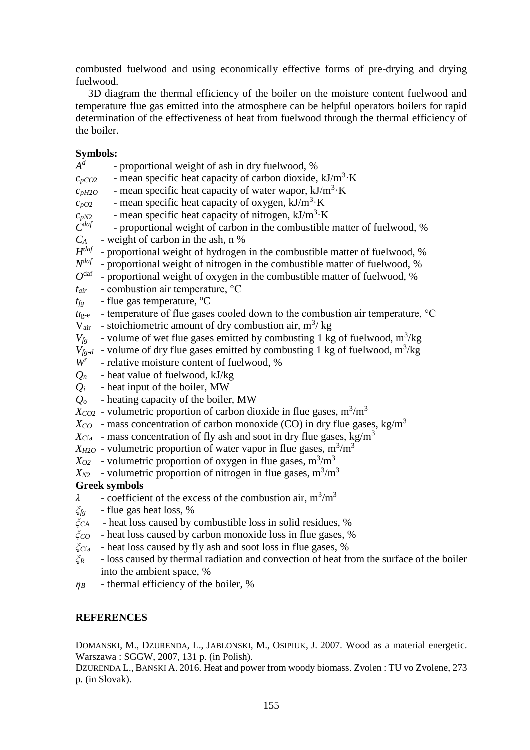combusted fuelwood and using economically effective forms of pre-drying and drying fuelwood.

3D diagram the thermal efficiency of the boiler on the moisture content fuelwood and temperature flue gas emitted into the atmosphere can be helpful operators boilers for rapid determination of the effectiveness of heat from fuelwood through the thermal efficiency of the boiler.

# **Symbols:**

- *A d* - proportional weight of ash in dry fuelwood, %  $c_{pCO2}$  - mean specific heat capacity of carbon dioxide, kJ/m<sup>3</sup>·K  $c_{pH2O}$  - mean specific heat capacity of water wapor, kJ/m<sup>3</sup>·K  $c_{pO2}$  - mean specific heat capacity of oxygen, kJ/m<sup>3</sup>·K  $c_{pN2}$  - mean specific heat capacity of nitrogen,  $kJ/m^3$  K *C daf* - proportional weight of carbon in the combustible matter of fuelwood, %  $C_A$  - weight of carbon in the ash, n % *H daf* - proportional weight of hydrogen in the combustible matter of fuelwood, % *N daf* - proportional weight of nitrogen in the combustible matter of fuelwood, % *O* daf - proportional weight of oxygen in the combustible matter of fuelwood, % *tair* - combustion air temperature, °C  $t_{fg}$  - flue gas temperature,  ${}^{\circ}C$  $t_{\text{fg-e}}$  - temperature of flue gases cooled down to the combustion air temperature,  $\degree C$  $V_{air}$  - stoichiometric amount of dry combustion air, m<sup>3</sup>/kg  $V_{fg}$  - volume of wet flue gases emitted by combusting 1 kg of fuelwood, m<sup>3</sup>/kg  $V_{fg-d}$  - volume of dry flue gases emitted by combusting 1 kg of fuelwood, m<sup>3</sup>/kg *Wr* - relative moisture content of fuelwood, %  $Q_n$  - heat value of fuelwood, kJ/kg  $Q_i$  - heat input of the boiler, MW *Q<sup>o</sup>* - heating capacity of the boiler, MW  $X_{CO2}$  - volumetric proportion of carbon dioxide in flue gases, m<sup>3</sup>/m<sup>3</sup>  $X_{CO}$  - mass concentration of carbon monoxide (CO) in dry flue gases, kg/m<sup>3</sup>  $X_{Cfa}$  - mass concentration of fly ash and soot in dry flue gases, kg/m<sup>3</sup>  $X_{H2O}$  - volumetric proportion of water vapor in flue gases,  $m^3/m^3$  $X_{O2}$  - volumetric proportion of oxygen in flue gases,  $m^3/m^3$  $X_{N2}$  - volumetric proportion of nitrogen in flue gases,  $m^3/m^3$ **Greek symbols**  $\lambda$  - coefficient of the excess of the combustion air, m<sup>3</sup>/m<sup>3</sup> *ξfg* - flue gas heat loss, % *ξC*A - heat loss caused by combustible loss in solid residues, %
- *ξCO* heat loss caused by carbon monoxide loss in flue gases, %
- *ξC*fa heat loss caused by fly ash and soot loss in flue gases, %
- *ξ<sup>R</sup>* loss caused by thermal radiation and convection of heat from the surface of the boiler into the ambient space, %
- $\eta_B$  thermal efficiency of the boiler, %

# **REFERENCES**

DOMANSKI, M., DZURENDA, L., JABLONSKI, M., OSIPIUK, J. 2007. Wood as a material energetic. Warszawa : SGGW, 2007, 131 p. (in Polish).

DZURENDA L., BANSKI A. 2016. Heat and power from woody biomass. Zvolen : TU vo Zvolene, 273 p. (in Slovak).